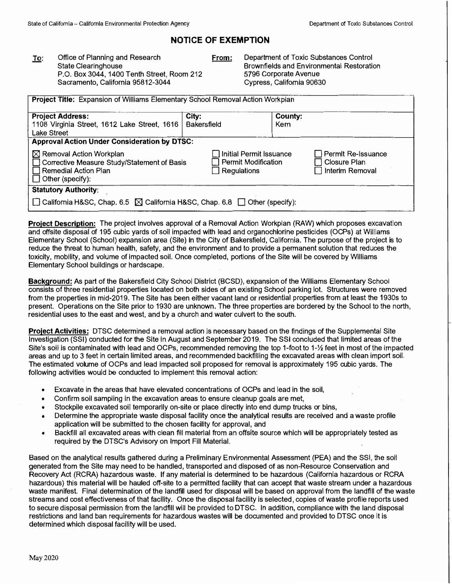# **NOTICE OF EXEMPTION**

To: Office of Planning and Research **From:** State Clearinghouse P.O. Box 3044, 1400 Tenth Street, Room 212 Sacramento, California 95812-3044

Department of Toxic Substances Control Brownfields and Environmental Restoration 5796 Corporate Avenue Cypress, California 90630

| Project Title: Expansion of Williams Elementary School Removal Action Workplan                                                          |                                                                        |                                                              |  |  |
|-----------------------------------------------------------------------------------------------------------------------------------------|------------------------------------------------------------------------|--------------------------------------------------------------|--|--|
| <b>Project Address:</b><br>1108 Virginia Street, 1612 Lake Street, 1616<br>Lake Street                                                  | City:<br><b>Bakersfield</b>                                            | County:<br>Kem                                               |  |  |
| <b>Approval Action Under Consideration by DTSC:</b>                                                                                     |                                                                        |                                                              |  |  |
| $\boxtimes$ Removal Action Workplan<br>□ Corrective Measure Study/Statement of Basis<br>Remedial Action Plan<br>$\Box$ Other (specify): | ∃ Initial Permit Issuance<br><b>Permit Modification</b><br>Regulations | Permit Re-Issuance<br><b>Closure Plan</b><br>Interim Removal |  |  |
| <b>Statutory Authority:</b>                                                                                                             |                                                                        |                                                              |  |  |
| California H&SC, Chap. 6.5 $\boxtimes$ California H&SC, Chap. 6.8 $\Box$ Other (specify):                                               |                                                                        |                                                              |  |  |

**Project Description:** The project involves approval of a Removal Action Workplan (RAW) which proposes excavation and offsite disposal of 195 cubic yards of soil impacted with lead and organochlorine pesticides (OCPs) at Williams Elementary School (School) expansion area (Site) In the City of Bakersfield, California. The purpose of the project is to reduce the threat to human health, safety, and the environment and to provide a permanent solution that reduces the toxicity, mobility, and volume of impacted soil. Once completed, portions of the Site will be covered by Williams Elementary School buildings or hardscape.

**Background:** As part of the Bakersfield City School District (BCSD), expansion of the Williams Elementary School consists of three residential properties located on both sides of an existing School parking lot. Structures were removed from the properties in mid-2019. The Site has been either vacant land or residential properties from at least the 1930s to present. Operations on the Site prior to 1930 are unknown. The three properties are bordered by the School to the north, residential uses to the east and west, and by a church and water culvert to the south.

**Project Activities:** DTSC determined a removal action is necessary based on the findings of the Supplemental Site Investigation (SSI) conducted for the Site in August and September 2019. The SSI concluded that limited areas of the Site's soil is contaminated with lead and OCPs, recommended removing the top 1-foot to 1-½ feet in most of the impacted areas and up to 3 feet in certain limited areas, and recommended backfilling the excavated areas with clean import soil. The estimated volume of OCPs and lead impacted soil proposed for removal is approximately 195 cubic yards. The following activities would be conducted to implement this removal action:

- •Excavate in the areas that have elevated concentrations of OCPs and lead in the soil,
- •Confirm soil sampling in the excavation areas to ensure cleanup goals are met,
- •Stockpile excavated soil temporarily on-site or place directly into end dump trucks or bins,
- • Determine the appropriate waste disposal facility once the analytical results are received and a waste profile application will be submitted to the chosen facility for approval, and
- • Backfill all excavated areas with clean fill material from an offsite source which will be appropriately tested as required by the DTSC's Advisory on Import Fill Material.

Based on the analytical results gathered during a Preliminary Environmental Assessment (PEA) and the SSI, the soil generated from the Site may need to be handled, transported and disposed of as non-Resource Conservation and Recovery Act (RCRA) hazardous waste. If any material is determined to be hazardous (California hazardous or RCRA hazardous) this material will be hauled off-site to a permitted facility that can accept that waste stream under a hazardous waste manifest. Final determination of the landfill used for disposal will be based on approval from the landfill of the waste streams and cost effectiveness of that facility. Once the disposal facility is selected, copies of waste profile reports used to secure disposal permission from the landfill will be provided to DTSC. In addition, compliance with the land disposal restrictions and land ban requirements for hazardous wastes will be documented and provided to DTSC once it is determined which disposal facility will be used.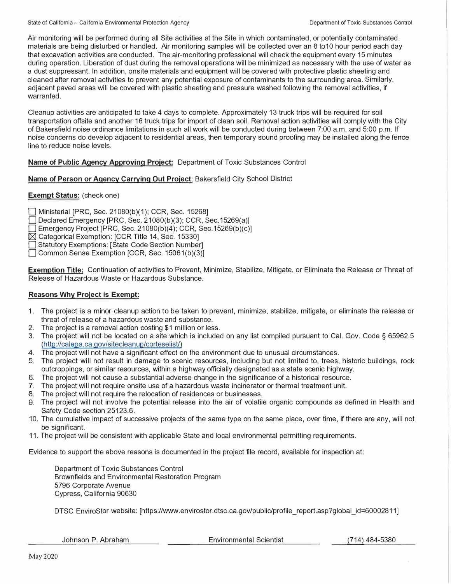Air monitoring will be performed during all Site activities at the Site in which contaminated, or potentially contaminated, materials are being disturbed or handled. Air monitoring samples will be collected over an 8 to10 hour period each day that excavation activities are conducted. The air-monitoring professional will check the equipment every 15 minutes during operation. Liberation of dust during the removal operations will be minimized as necessary with the use of water as a dust suppressant. In addition, onsite materials and equipment will be covered with protective plastic sheeting and cleaned after removal activities to prevent any potential exposure of contaminants to the surrounding area. Similarly, adjacent paved areas will be covered with plastic sheeting and pressure washed following the removal activities, if warranted.

Cleanup activities are anticipated to take 4 days to complete. Approximately 13 truck trips will be required for soil transportation offsite and another 16 truck trips for import of clean soil. Removal action activities will comply with the City of Bakersfield noise ordinance limitations in such all work will be conducted during between 7:00 a.m. and 5:00 p.m. If noise concerns do develop adjacent to residential areas, then temporary sound proofing may be installed along the fence line to reduce noise levels.

## **Name of Public Agency Approving Project:** Department of Toxic Substances Control

### **Name of Person or Agency Carrying Out Project:** Bakersfield City School District

### **Exempt Status:** (check one)

0 Ministerial [PRC, Sec. 21080(b)(1); CCR, Sec. 15268]

Declared Emergency [PRC, Sec. 21080(b)(3); CCR, Sec. 15269(a)]

 $\Box$  Emergency Project [PRC, Sec. 21080(b)(4); CCR, Sec. 15269(b)(c)]

 $\boxtimes$  Categorical Exemption: [CCR Title 14, Sec. 15330]

Statutory Exemptions: [State Code Section Number]

□ Common Sense Exemption [CCR, Sec. 15061(b)(3)]

**Exemption Title:** Continuation of activities to Prevent, Minimize, Stabilize, Mitigate, or Eliminate the Release or Threat of Release of Hazardous Waste or Hazardous Substance.

### **Reasons Why Project is Exempt:**

- 1. The project is a minor cleanup action to be taken to prevent, minimize, stabilize, mitigate, or eliminate the release or threat of release of a hazardous waste and substance.
- 2. The project is a removal action costing \$1 million or less.
- 3. The project will not be located on a site which is included on any list compiled pursuant to Cal. Gov. Code § 65962.5 (http://calepa.ca.gov/sitecleanup/corteselist/)
- **4.** The project will not have a significant effect on the environment due to unusual circumstances.
- 5. The project will not result in damage to scenic resources, including but not limited to, trees, historic buildings, rock outcroppings, or similar resources, within a highway officially designated as a state scenic highway.
- 6. The project will not cause a substantial adverse change in the significance of a historical resource.
- 7. The project will not require onsite use of a hazardous waste incinerator or thermal treatment unit.
- 8. The project will not require the relocation of residences or businesses.
- 9. The project will not involve the potential release into the air of volatile organic compounds as defined in Health and Safety Code section 25123.6.
- 10. The cumulative impact of successive projects of the same type on the same place, over time, if there are any, will not be significant.
- 11. The project will be consistent with applicable State and local environmental permitting requirements.

Evidence to support the above reasons is documented in the project file record, available for inspection at:

Department of Toxic Substances Control Brownfields and Environmental Restoration Program 5796 Corporate Avenue Cypress, California 90630

DTSC EnviroStor website: [https://www.envirostor.dtsc.ca.gov/public/profile\_report.asp?global\_id=60002811]

Johnson P. Abraham

Environmental Scientist (714) 484-5380